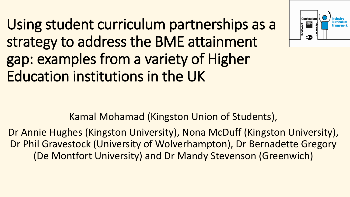Using student curriculum partnerships as a strategy to address the BME attainment gap: examples from a variety of Higher Education institutions in the UK



Kamal Mohamad (Kingston Union of Students),

Dr Annie Hughes (Kingston University), Nona McDuff (Kingston University), Dr Phil Gravestock (University of Wolverhampton), Dr Bernadette Gregory (De Montfort University) and Dr Mandy Stevenson (Greenwich)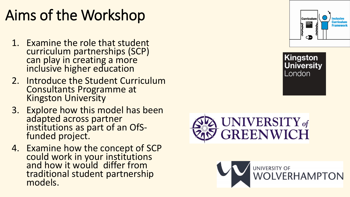# Aims of the Workshop

- 1. Examine the role that student curriculum partnerships (SCP) can play in creating a more inclusive higher education
- 2. Introduce the Student Curriculum Consultants Programme at Kingston University
- 3. Explore how this model has been adapted across partner institutions as part of an OfSfunded project.
- 4. Examine how the concept of SCP could work in your institutions and how it would differ from traditional student partnership models.







Kingston

London

**University**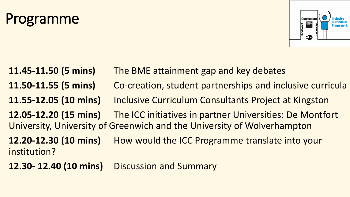# Programme



**11.45-11.50 (5 mins)** The BME attainment gap and key debates **11.50-11.55 (5 mins)** Co-creation, student partnerships and inclusive curricula **11.55-12.05 (10 mins)** Inclusive Curriculum Consultants Project at Kingston **12.05-12.20 (15 mins)** The ICC initiatives in partner Universities: De Montfort University, University of Greenwich and the University of Wolverhampton **12.20-12.30 (10 mins)** How would the ICC Programme translate into your institution?

**12.30- 12.40 (10 mins)** Discussion and Summary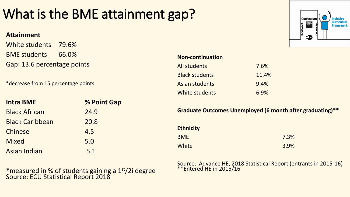## What is the BME attainment gap?

#### **Attainment**

White students 79.6% BME students 66.0% Gap: 13.6 percentage points

\*decrease from 15 percentage points

| <b>Intra BME</b>       | % Point Gap |
|------------------------|-------------|
| <b>Black African</b>   | 24.9        |
| <b>Black Caribbean</b> | 20.8        |
| Chinese                | 4.5         |
| <b>Mixed</b>           | 5.0         |
| <b>Asian Indian</b>    | 5.1         |

\*measured in % of students gaining a 1st/2i degree Source: ECU Statistical Report 2018

| <b>Curriculum</b><br>Kinastor<br>University<br>London | <b>Inclusive</b><br><b>Curriculum</b><br><b>Framework</b> |
|-------------------------------------------------------|-----------------------------------------------------------|
|                                                       |                                                           |

| <b>Non-continuation</b> |  |  |  |
|-------------------------|--|--|--|
| 7.6%                    |  |  |  |
| 11.4%                   |  |  |  |
| 9.4%                    |  |  |  |
| 6.9%                    |  |  |  |
|                         |  |  |  |

**Graduate Outcomes Unemployed (6 month after graduating)\*\***

| <b>Ethnicity</b> |      |
|------------------|------|
| <b>BME</b>       | 7.3% |
| White            | 3.9% |

Source: Advance HE, 2018 Statistical Report (entrants in 2015-16) \*\*Entered HE in 2015/16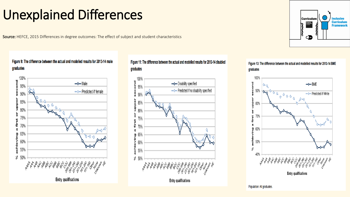#### Unexplained Differences

Source: HEFCE, 2015 Differences in degree outcomes: The effect of subject and student characteristics

#### Figure 9: The difference between the actual and modelled results for 2013-14 male graduates



#### Figure 11: The difference between the actual and modelled results for 2013-14 disabled graduates



Figure 13: The difference between the actual and modelled results for 2013-14 BME graduates



Population: All graduates.

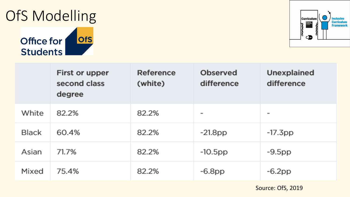# OfS Modelling





|              | First or upper<br>second class<br>degree | Reference<br>(white) | Observed<br>difference | Unexplained<br>difference |
|--------------|------------------------------------------|----------------------|------------------------|---------------------------|
| White        | 82.2%                                    | 82.2%                | $=$                    | -                         |
| <b>Black</b> | 60.4%                                    | 82.2%                | $-21.8$ pp             | $-17.3$ pp                |
| Asian        | 71.7%                                    | 82.2%                | $-10.5$ pp             | $-9.5$ pp                 |
| Mixed        | 75.4%                                    | 82.2%                | $-6.8$ pp              | $-6.2$ pp                 |

Source: OfS, 2019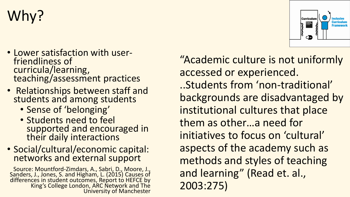# Why?

- Lower satisfaction with userfriendliness of curricula/learning, teaching/assessment practices
- Relationships between staff and students and among students
	- Sense of 'belonging'
	- Students need to feel supported and encouraged in their daily interactions
- Social/cultural/economic capital: networks and external support

Source: Mountford-Zimdars, A., Sabri, D., Moore, J., Sanders, J., Jones, S. and Higham, L. (2015) Causes of differences in student outcomes, Report to HEFCE by King's College London, ARC Network and The University of Manchester

"Academic culture is not uniformly accessed or experienced. ..Students from 'non-traditional' backgrounds are disadvantaged by institutional cultures that place them as other…a need for initiatives to focus on 'cultural' aspects of the academy such as methods and styles of teaching and learning" (Read et. al., 2003:275)

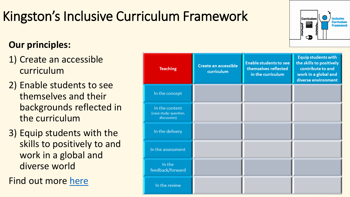# Kingston's Inclusive Curriculum Framework

#### **Our principles:**

- 1) Create an accessible curriculum
- 2) Enable students to see themselves and their backgrounds reflected in the curriculum
- 3) Equip students with the skills to positively to and work in a global and diverse world

Find out more [here](https://www.youtube.com/watch?v=YULZELyHgnk&t=24s)

| <b>Teaching</b>                                         | <b>Create an accessible</b><br>curriculum | <b>Enable students to see</b><br>themselves reflected<br>in the curriculum | <b>Equip students with</b><br>the skills to positively<br>contribute to and<br>work in a global and<br>diverse environment |
|---------------------------------------------------------|-------------------------------------------|----------------------------------------------------------------------------|----------------------------------------------------------------------------------------------------------------------------|
| In the concept                                          |                                           |                                                                            |                                                                                                                            |
| In the content<br>(case study: question,<br>discussion) |                                           |                                                                            |                                                                                                                            |
| In the delivery                                         |                                           |                                                                            |                                                                                                                            |
| In the assessment                                       |                                           |                                                                            |                                                                                                                            |
| In the<br>feedback/forward                              |                                           |                                                                            |                                                                                                                            |
| In the review                                           |                                           |                                                                            |                                                                                                                            |

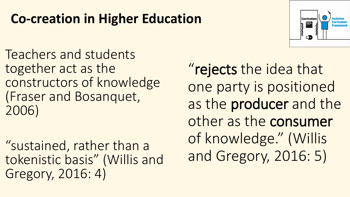### **Co-creation in Higher Education**

Teachers and students together act as the constructors of knowledge (Fraser and Bosanquet, 2006)

"sustained, rather than a tokenistic basis" (Willis and Gregory, 2016: 4)



"rejects the idea that one party is positioned as the producer and the other as the consumer of knowledge." (Willis and Gregory, 2016: 5)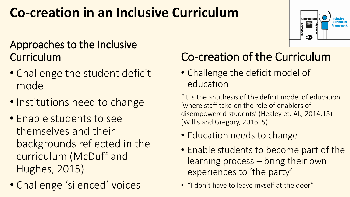### **Co-creation in an Inclusive Curriculum**

#### Approaches to the Inclusive **Curriculum**

- Challenge the student deficit model
- Institutions need to change
- Enable students to see themselves and their backgrounds reflected in the curriculum (McDuff and Hughes, 2015)
- Challenge 'silenced' voices

#### Co-creation of the Curriculum

• Challenge the deficit model of education

"it is the antithesis of the deficit model of education 'where staff take on the role of enablers of disempowered students' (Healey et. Al., 2014:15) (Willis and Gregory, 2016: 5)

- Education needs to change
- Enable students to become part of the learning process – bring their own experiences to 'the party'
- "I don't have to leave myself at the door"

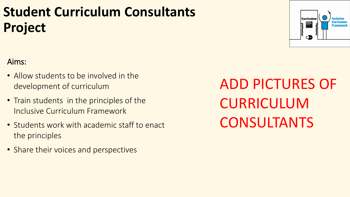## **Student Curriculum Consultants Project**

#### Aims:

- Allow students to be involved in the development of curriculum
- Train students in the principles of the Inclusive Curriculum Framework
- Students work with academic staff to enact the principles
- Share their voices and perspectives

ADD PICTURES OF CURRICULUM CONSULTANTS

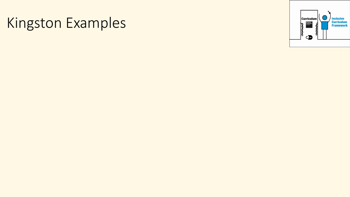# Kingston Examples

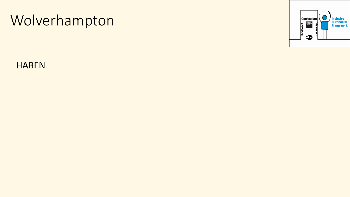# Wolverhampton



HABEN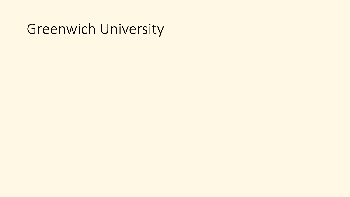#### Greenwich University